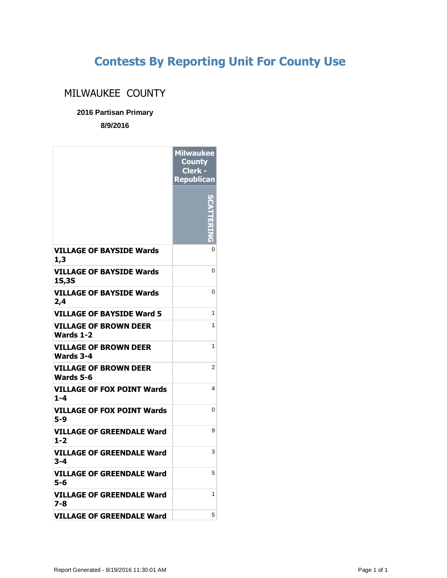## **Contests By Reporting Unit For County Use**

## MILWAUKEE COUNTY

**2016 Partisan Primary**

**8/9/2016**

|                                                  | <b>Milwaukee</b><br><b>County</b><br>Clerk -<br><b>Republican</b> |
|--------------------------------------------------|-------------------------------------------------------------------|
|                                                  |                                                                   |
| <b>VILLAGE OF BAYSIDE Wards</b><br>1,3           | 0                                                                 |
| <b>VILLAGE OF BAYSIDE Wards</b><br><b>1S,3S</b>  | 0                                                                 |
| VILLAGE OF BAYSIDE Wards<br>2,4                  | 0                                                                 |
| <b>VILLAGE OF BAYSIDE Ward 5</b>                 | 1                                                                 |
| <b>VILLAGE OF BROWN DEER</b><br><b>Wards 1-2</b> | 1                                                                 |
| <b>VILLAGE OF BROWN DEER</b><br>Wards 3-4        | 1                                                                 |
| VILLAGE OF BROWN DEER<br>Wards 5-6               | 2                                                                 |
| <b>VILLAGE OF FOX POINT Wards</b><br>$1 - 4$     | 4                                                                 |
| <b>VILLAGE OF FOX POINT Wards</b><br>5-9         | 0                                                                 |
| VILLAGE OF GREENDALE Ward<br>$1 - 2$             | 9                                                                 |
| VILLAGE OF GREENDALE Ward<br>3-4                 | 3                                                                 |
| VILLAGE OF GREENDALE Ward<br>5-6                 | 5                                                                 |
| VILLAGE OF GREENDALE Ward<br>7-8                 | 1                                                                 |
| <b>VILLAGE OF GREENDALE Ward</b>                 | 5                                                                 |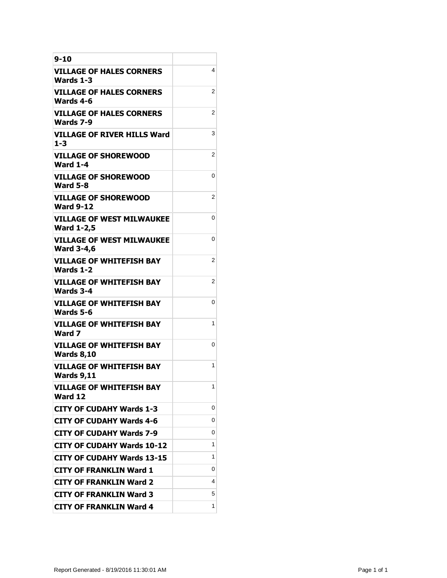| 9-10                                                  |   |
|-------------------------------------------------------|---|
| <b>VILLAGE OF HALES CORNERS</b><br>Wards 1-3          | 4 |
| <b>VILLAGE OF HALES CORNERS</b><br>Wards 4-6          | 2 |
| VILLAGE OF HALES CORNERS<br>Wards 7-9                 | 2 |
| VILLAGE OF RIVER HILLS Ward<br>$1 - 3$                | 3 |
| <b>VILLAGE OF SHOREWOOD</b><br><b>Ward 1-4</b>        | 2 |
| <b>VILLAGE OF SHOREWOOD</b><br><b>Ward 5-8</b>        | 0 |
| <b>VILLAGE OF SHOREWOOD</b><br><b>Ward 9-12</b>       | 2 |
| <b>VILLAGE OF WEST MILWAUKEE</b><br><b>Ward 1-2,5</b> | 0 |
| <b>VILLAGE OF WEST MILWAUKEE</b><br><b>Ward 3-4,6</b> | 0 |
| <b>VILLAGE OF WHITEFISH BAY</b><br>Wards 1-2          | 2 |
| <b>VILLAGE OF WHITEFISH BAY</b><br>Wards 3-4          | 2 |
| VILLAGE OF WHITEFISH BAY<br>Wards 5-6                 | 0 |
| VILLAGE OF WHITEFISH BAY<br>Ward 7                    | 1 |
| <b>VILLAGE OF WHITEFISH BAY</b><br><b>Wards 8,10</b>  | 0 |
| <b>VILLAGE OF WHITEFISH BAY</b><br><b>Wards 9,11</b>  | 1 |
| <b>VILLAGE OF WHITEFISH BAY</b><br>Ward 12            | 1 |
| <b>CITY OF CUDAHY Wards 1-3</b>                       | 0 |
| CITY OF CUDAHY Wards 4-6                              | 0 |
| <b>CITY OF CUDAHY Wards 7-9</b>                       | 0 |
| <b>CITY OF CUDAHY Wards 10-12</b>                     | 1 |
| <b>CITY OF CUDAHY Wards 13-15</b>                     | 1 |
| <b>CITY OF FRANKLIN Ward 1</b>                        | 0 |
| <b>CITY OF FRANKLIN Ward 2</b>                        | 4 |
| <b>CITY OF FRANKLIN Ward 3</b>                        | 5 |
| <b>CITY OF FRANKLIN Ward 4</b>                        | 1 |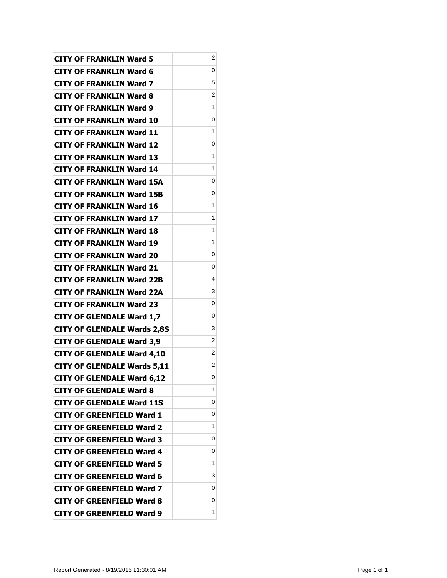| <b>CITY OF FRANKLIN Ward 5</b>     | 2 |
|------------------------------------|---|
| <b>CITY OF FRANKLIN Ward 6</b>     | 0 |
| <b>CITY OF FRANKLIN Ward 7</b>     | 5 |
| <b>CITY OF FRANKLIN Ward 8</b>     | 2 |
| <b>CITY OF FRANKLIN Ward 9</b>     | 1 |
| <b>CITY OF FRANKLIN Ward 10</b>    | 0 |
| <b>CITY OF FRANKLIN Ward 11</b>    | 1 |
| <b>CITY OF FRANKLIN Ward 12</b>    | 0 |
| <b>CITY OF FRANKLIN Ward 13</b>    | 1 |
| <b>CITY OF FRANKLIN Ward 14</b>    | 1 |
| <b>CITY OF FRANKLIN Ward 15A</b>   | 0 |
| <b>CITY OF FRANKLIN Ward 15B</b>   | 0 |
| <b>CITY OF FRANKLIN Ward 16</b>    | 1 |
| <b>CITY OF FRANKLIN Ward 17</b>    | 1 |
| <b>CITY OF FRANKLIN Ward 18</b>    | 1 |
| <b>CITY OF FRANKLIN Ward 19</b>    | 1 |
| <b>CITY OF FRANKLIN Ward 20</b>    | 0 |
| <b>CITY OF FRANKLIN Ward 21</b>    | 0 |
| <b>CITY OF FRANKLIN Ward 22B</b>   | 4 |
| <b>CITY OF FRANKLIN Ward 22A</b>   | 3 |
| <b>CITY OF FRANKLIN Ward 23</b>    | 0 |
| <b>CITY OF GLENDALE Ward 1,7</b>   | 0 |
| <b>CITY OF GLENDALE Wards 2,8S</b> | 3 |
| <b>CITY OF GLENDALE Ward 3,9</b>   | 2 |
| <b>CITY OF GLENDALE Ward 4,10</b>  | 2 |
| <b>CITY OF GLENDALE Wards 5,11</b> | 2 |
| <b>CITY OF GLENDALE Ward 6,12</b>  | 0 |
| <b>CITY OF GLENDALE Ward 8</b>     | 1 |
| <b>CITY OF GLENDALE Ward 11S</b>   | 0 |
| <b>CITY OF GREENFIELD Ward 1</b>   | 0 |
| <b>CITY OF GREENFIELD Ward 2</b>   | 1 |
| <b>CITY OF GREENFIELD Ward 3</b>   | 0 |
| <b>CITY OF GREENFIELD Ward 4</b>   | 0 |
| <b>CITY OF GREENFIELD Ward 5</b>   | 1 |
| <b>CITY OF GREENFIELD Ward 6</b>   | 3 |
| <b>CITY OF GREENFIELD Ward 7</b>   | 0 |
| <b>CITY OF GREENFIELD Ward 8</b>   | 0 |
| <b>CITY OF GREENFIELD Ward 9</b>   | 1 |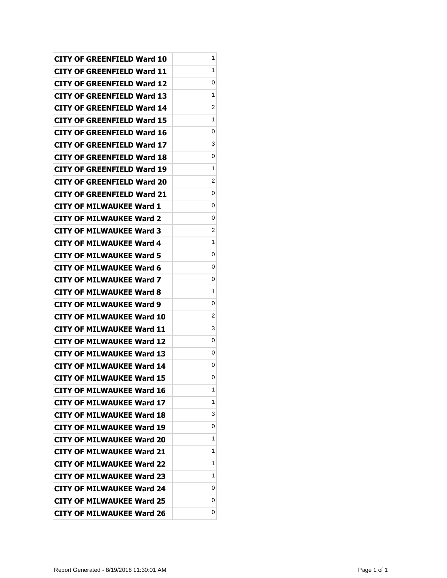| CITY OF GREENFIELD Ward 10        | 1 |
|-----------------------------------|---|
| CITY OF GREENFIELD Ward 11        | 1 |
| <b>CITY OF GREENFIELD Ward 12</b> | 0 |
| CITY OF GREENFIELD Ward 13        | 1 |
| <b>CITY OF GREENFIELD Ward 14</b> | 2 |
| CITY OF GREENFIELD Ward 15        | 1 |
| <b>CITY OF GREENFIELD Ward 16</b> | 0 |
| CITY OF GREENFIELD Ward 17        | 3 |
| CITY OF GREENFIELD Ward 18        | 0 |
| CITY OF GREENFIELD Ward 19        | 1 |
| <b>CITY OF GREENFIELD Ward 20</b> | 2 |
| CITY OF GREENFIELD Ward 21        | 0 |
| <b>CITY OF MILWAUKEE Ward 1</b>   | 0 |
| CITY OF MILWAUKEE Ward 2          | 0 |
| <b>CITY OF MILWAUKEE Ward 3</b>   | 2 |
| <b>CITY OF MILWAUKEE Ward 4</b>   | 1 |
| <b>CITY OF MILWAUKEE Ward 5</b>   | 0 |
| <b>CITY OF MILWAUKEE Ward 6</b>   | 0 |
| CITY OF MILWAUKEE Ward 7          | 0 |
| <b>CITY OF MILWAUKEE Ward 8</b>   | 1 |
| <b>CITY OF MILWAUKEE Ward 9</b>   | 0 |
| <b>CITY OF MILWAUKEE Ward 10</b>  | 2 |
| <b>CITY OF MILWAUKEE Ward 11</b>  | 3 |
| <b>CITY OF MILWAUKEE Ward 12</b>  | 0 |
| <b>CITY OF MILWAUKEE Ward 13</b>  | 0 |
| <b>CITY OF MILWAUKEE Ward 14</b>  | 0 |
| <b>CITY OF MILWAUKEE Ward 15</b>  | 0 |
| <b>CITY OF MILWAUKEE Ward 16</b>  | 1 |
| <b>CITY OF MILWAUKEE Ward 17</b>  | 1 |
| <b>CITY OF MILWAUKEE Ward 18</b>  | 3 |
| <b>CITY OF MILWAUKEE Ward 19</b>  | 0 |
| <b>CITY OF MILWAUKEE Ward 20</b>  | 1 |
| <b>CITY OF MILWAUKEE Ward 21</b>  | 1 |
| <b>CITY OF MILWAUKEE Ward 22</b>  | 1 |
| <b>CITY OF MILWAUKEE Ward 23</b>  | 1 |
| <b>CITY OF MILWAUKEE Ward 24</b>  | 0 |
| <b>CITY OF MILWAUKEE Ward 25</b>  | 0 |
| <b>CITY OF MILWAUKEE Ward 26</b>  | 0 |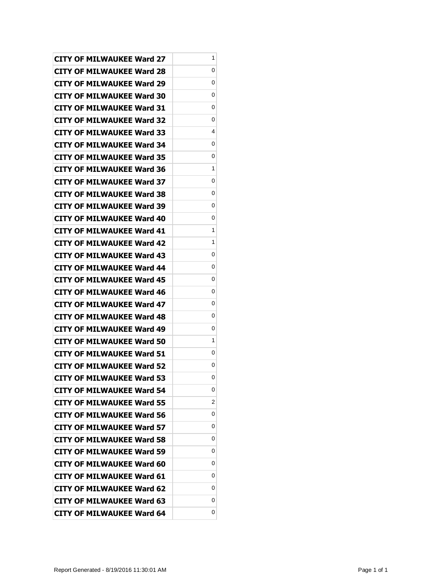| <b>CITY OF MILWAUKEE Ward 27</b> | 1 |
|----------------------------------|---|
| <b>CITY OF MILWAUKEE Ward 28</b> | 0 |
| <b>CITY OF MILWAUKEE Ward 29</b> | 0 |
| <b>CITY OF MILWAUKEE Ward 30</b> | 0 |
| <b>CITY OF MILWAUKEE Ward 31</b> | 0 |
| <b>CITY OF MILWAUKEE Ward 32</b> | 0 |
| <b>CITY OF MILWAUKEE Ward 33</b> | 4 |
| <b>CITY OF MILWAUKEE Ward 34</b> | 0 |
| <b>CITY OF MILWAUKEE Ward 35</b> | 0 |
| <b>CITY OF MILWAUKEE Ward 36</b> | 1 |
| <b>CITY OF MILWAUKEE Ward 37</b> | 0 |
| <b>CITY OF MILWAUKEE Ward 38</b> | 0 |
| <b>CITY OF MILWAUKEE Ward 39</b> | 0 |
| CITY OF MILWAUKEE Ward 40        | 0 |
| <b>CITY OF MILWAUKEE Ward 41</b> | 1 |
| <b>CITY OF MILWAUKEE Ward 42</b> | 1 |
| <b>CITY OF MILWAUKEE Ward 43</b> | 0 |
| <b>CITY OF MILWAUKEE Ward 44</b> | 0 |
| <b>CITY OF MILWAUKEE Ward 45</b> | 0 |
| <b>CITY OF MILWAUKEE Ward 46</b> | 0 |
| <b>CITY OF MILWAUKEE Ward 47</b> | 0 |
| <b>CITY OF MILWAUKEE Ward 48</b> | 0 |
| CITY OF MILWAUKEE Ward 49        | 0 |
| <b>CITY OF MILWAUKEE Ward 50</b> | 1 |
| <b>CITY OF MILWAUKEE Ward 51</b> | 0 |
| <b>CITY OF MILWAUKEE Ward 52</b> | 0 |
| <b>CITY OF MILWAUKEE Ward 53</b> | 0 |
| <b>CITY OF MILWAUKEE Ward 54</b> | 0 |
| <b>CITY OF MILWAUKEE Ward 55</b> | 2 |
| <b>CITY OF MILWAUKEE Ward 56</b> | 0 |
| <b>CITY OF MILWAUKEE Ward 57</b> | 0 |
| <b>CITY OF MILWAUKEE Ward 58</b> | 0 |
| <b>CITY OF MILWAUKEE Ward 59</b> | 0 |
| <b>CITY OF MILWAUKEE Ward 60</b> | 0 |
| <b>CITY OF MILWAUKEE Ward 61</b> | 0 |
| <b>CITY OF MILWAUKEE Ward 62</b> | 0 |
| <b>CITY OF MILWAUKEE Ward 63</b> | 0 |
| <b>CITY OF MILWAUKEE Ward 64</b> | 0 |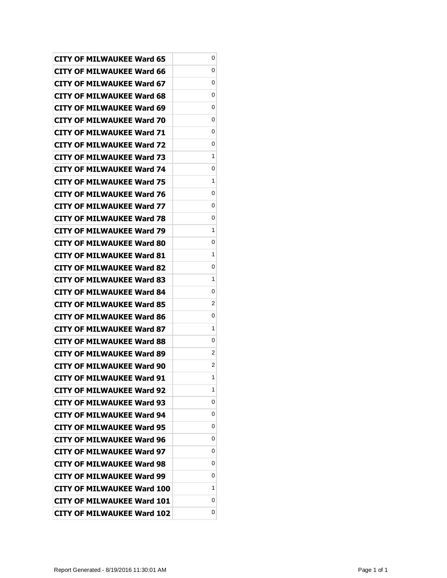| <b>CITY OF MILWAUKEE Ward 65</b>  | 0 |
|-----------------------------------|---|
| <b>CITY OF MILWAUKEE Ward 66</b>  | 0 |
| <b>CITY OF MILWAUKEE Ward 67</b>  | 0 |
| <b>CITY OF MILWAUKEE Ward 68</b>  | 0 |
| <b>CITY OF MILWAUKEE Ward 69</b>  | 0 |
| CITY OF MILWAUKEE Ward 70         | 0 |
| <b>CITY OF MILWAUKEE Ward 71</b>  | 0 |
| <b>CITY OF MILWAUKEE Ward 72</b>  | 0 |
| CITY OF MILWAUKEE Ward 73         | 1 |
| <b>CITY OF MILWAUKEE Ward 74</b>  | 0 |
| <b>CITY OF MILWAUKEE Ward 75</b>  | 1 |
| <b>CITY OF MILWAUKEE Ward 76</b>  | 0 |
| <b>CITY OF MILWAUKEE Ward 77</b>  | 0 |
| CITY OF MILWAUKEE Ward 78         | 0 |
| CITY OF MILWAUKEE Ward 79         | 1 |
| CITY OF MILWAUKEE Ward 80         | 0 |
| <b>CITY OF MILWAUKEE Ward 81</b>  | 1 |
| <b>CITY OF MILWAUKEE Ward 82</b>  | 0 |
| <b>CITY OF MILWAUKEE Ward 83</b>  | 1 |
| <b>CITY OF MILWAUKEE Ward 84</b>  | 0 |
| <b>CITY OF MILWAUKEE Ward 85</b>  | 2 |
| <b>CITY OF MILWAUKEE Ward 86</b>  | 0 |
| <b>CITY OF MILWAUKEE Ward 87</b>  | 1 |
| CITY OF MILWAUKEE Ward 88         | 0 |
| <b>CITY OF MILWAUKEE Ward 89</b>  | 2 |
| <b>CITY OF MILWAUKEE Ward 90</b>  | 2 |
| <b>CITY OF MILWAUKEE Ward 91</b>  | 1 |
| <b>CITY OF MILWAUKEE Ward 92</b>  | 1 |
| <b>CITY OF MILWAUKEE Ward 93</b>  | 0 |
| <b>CITY OF MILWAUKEE Ward 94</b>  | 0 |
| <b>CITY OF MILWAUKEE Ward 95</b>  | 0 |
| <b>CITY OF MILWAUKEE Ward 96</b>  | 0 |
| <b>CITY OF MILWAUKEE Ward 97</b>  | 0 |
| <b>CITY OF MILWAUKEE Ward 98</b>  | 0 |
| <b>CITY OF MILWAUKEE Ward 99</b>  | 0 |
| <b>CITY OF MILWAUKEE Ward 100</b> | 1 |
| <b>CITY OF MILWAUKEE Ward 101</b> | 0 |
| <b>CITY OF MILWAUKEE Ward 102</b> | 0 |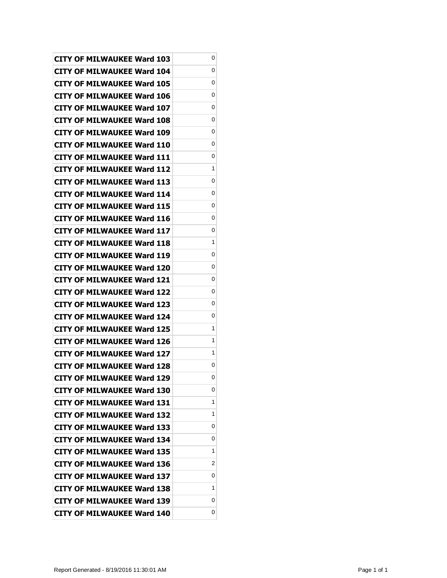| <b>CITY OF MILWAUKEE Ward 103</b> | 0 |
|-----------------------------------|---|
| <b>CITY OF MILWAUKEE Ward 104</b> | 0 |
| CITY OF MILWAUKEE Ward 105        | 0 |
| CITY OF MILWAUKEE Ward 106        | 0 |
| CITY OF MILWAUKEE Ward 107        | 0 |
| <b>CITY OF MILWAUKEE Ward 108</b> | 0 |
| <b>CITY OF MILWAUKEE Ward 109</b> | 0 |
| CITY OF MILWAUKEE Ward 110        | 0 |
| <b>CITY OF MILWAUKEE Ward 111</b> | 0 |
| CITY OF MILWAUKEE Ward 112        | 1 |
| CITY OF MILWAUKEE Ward 113        | 0 |
| CITY OF MILWAUKEE Ward 114        | 0 |
| CITY OF MILWAUKEE Ward 115        | 0 |
| <b>CITY OF MILWAUKEE Ward 116</b> | 0 |
| <b>CITY OF MILWAUKEE Ward 117</b> | 0 |
| CITY OF MILWAUKEE Ward 118        | 1 |
| CITY OF MILWAUKEE Ward 119        | 0 |
| CITY OF MILWAUKEE Ward 120        | 0 |
| <b>CITY OF MILWAUKEE Ward 121</b> | 0 |
| <b>CITY OF MILWAUKEE Ward 122</b> | 0 |
| CITY OF MILWAUKEE Ward 123        | 0 |
| CITY OF MILWAUKEE Ward 124        | 0 |
| <b>CITY OF MILWAUKEE Ward 125</b> | 1 |
| <b>CITY OF MILWAUKEE Ward 126</b> | 1 |
| CITY OF MILWAUKEE Ward 127        | 1 |
| <b>CITY OF MILWAUKEE Ward 128</b> | 0 |
| <b>CITY OF MILWAUKEE Ward 129</b> | 0 |
| <b>CITY OF MILWAUKEE Ward 130</b> | 0 |
| <b>CITY OF MILWAUKEE Ward 131</b> | 1 |
| <b>CITY OF MILWAUKEE Ward 132</b> | 1 |
| CITY OF MILWAUKEE Ward 133        | 0 |
| <b>CITY OF MILWAUKEE Ward 134</b> | 0 |
| <b>CITY OF MILWAUKEE Ward 135</b> | 1 |
| CITY OF MILWAUKEE Ward 136        | 2 |
| <b>CITY OF MILWAUKEE Ward 137</b> | 0 |
| CITY OF MILWAUKEE Ward 138        | 1 |
| <b>CITY OF MILWAUKEE Ward 139</b> | 0 |
| <b>CITY OF MILWAUKEE Ward 140</b> | 0 |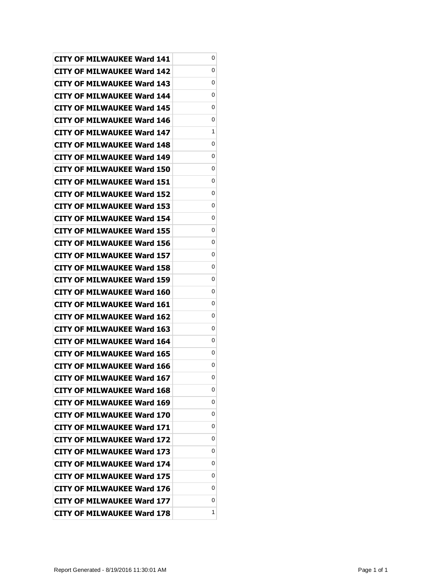| <b>CITY OF MILWAUKEE Ward 141</b> | 0 |
|-----------------------------------|---|
| CITY OF MILWAUKEE Ward 142        | 0 |
| <b>CITY OF MILWAUKEE Ward 143</b> | 0 |
| <b>CITY OF MILWAUKEE Ward 144</b> | 0 |
| <b>CITY OF MILWAUKEE Ward 145</b> | 0 |
| CITY OF MILWAUKEE Ward 146        | 0 |
| CITY OF MILWAUKEE Ward 147        | 1 |
| <b>CITY OF MILWAUKEE Ward 148</b> | 0 |
| <b>CITY OF MILWAUKEE Ward 149</b> | 0 |
| CITY OF MILWAUKEE Ward 150        | 0 |
| CITY OF MILWAUKEE Ward 151        | 0 |
| CITY OF MILWAUKEE Ward 152        | 0 |
| <b>CITY OF MILWAUKEE Ward 153</b> | 0 |
| CITY OF MILWAUKEE Ward 154        | 0 |
| CITY OF MILWAUKEE Ward 155        | 0 |
| CITY OF MILWAUKEE Ward 156        | 0 |
| CITY OF MILWAUKEE Ward 157        | 0 |
| <b>CITY OF MILWAUKEE Ward 158</b> | 0 |
| CITY OF MILWAUKEE Ward 159        | 0 |
| CITY OF MILWAUKEE Ward 160        | 0 |
| <b>CITY OF MILWAUKEE Ward 161</b> | 0 |
| CITY OF MILWAUKEE Ward 162        | 0 |
| CITY OF MILWAUKEE Ward 163        | 0 |
| CITY OF MILWAUKEE Ward 164        | 0 |
| CITY OF MILWAUKEE Ward 165        | 0 |
| <b>CITY OF MILWAUKEE Ward 166</b> | 0 |
| <b>CITY OF MILWAUKEE Ward 167</b> | 0 |
| <b>CITY OF MILWAUKEE Ward 168</b> | 0 |
| CITY OF MILWAUKEE Ward 169        | 0 |
| <b>CITY OF MILWAUKEE Ward 170</b> | 0 |
| CITY OF MILWAUKEE Ward 171        | 0 |
| <b>CITY OF MILWAUKEE Ward 172</b> | 0 |
| <b>CITY OF MILWAUKEE Ward 173</b> | 0 |
| <b>CITY OF MILWAUKEE Ward 174</b> | 0 |
| <b>CITY OF MILWAUKEE Ward 175</b> | 0 |
| <b>CITY OF MILWAUKEE Ward 176</b> | 0 |
| <b>CITY OF MILWAUKEE Ward 177</b> | 0 |
| <b>CITY OF MILWAUKEE Ward 178</b> | 1 |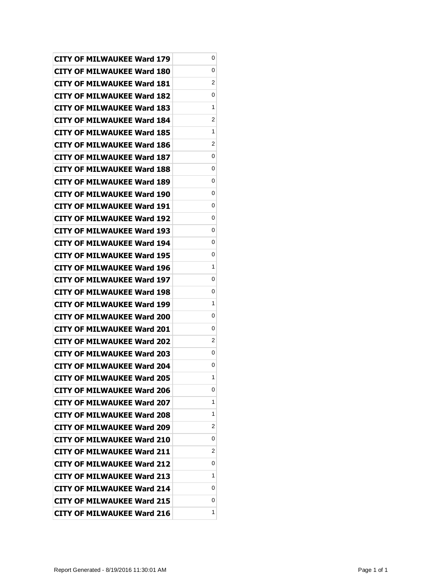| CITY OF MILWAUKEE Ward 179        | 0 |
|-----------------------------------|---|
| <b>CITY OF MILWAUKEE Ward 180</b> | 0 |
| <b>CITY OF MILWAUKEE Ward 181</b> | 2 |
| <b>CITY OF MILWAUKEE Ward 182</b> | 0 |
| <b>CITY OF MILWAUKEE Ward 183</b> | 1 |
| CITY OF MILWAUKEE Ward 184        | 2 |
| <b>CITY OF MILWAUKEE Ward 185</b> | 1 |
| <b>CITY OF MILWAUKEE Ward 186</b> | 2 |
| CITY OF MILWAUKEE Ward 187        | 0 |
| <b>CITY OF MILWAUKEE Ward 188</b> | 0 |
| <b>CITY OF MILWAUKEE Ward 189</b> | 0 |
| <b>CITY OF MILWAUKEE Ward 190</b> | 0 |
| <b>CITY OF MILWAUKEE Ward 191</b> | 0 |
| <b>CITY OF MILWAUKEE Ward 192</b> | 0 |
| <b>CITY OF MILWAUKEE Ward 193</b> | 0 |
| <b>CITY OF MILWAUKEE Ward 194</b> | 0 |
| <b>CITY OF MILWAUKEE Ward 195</b> | 0 |
| <b>CITY OF MILWAUKEE Ward 196</b> | 1 |
| <b>CITY OF MILWAUKEE Ward 197</b> | 0 |
| <b>CITY OF MILWAUKEE Ward 198</b> | 0 |
| <b>CITY OF MILWAUKEE Ward 199</b> | 1 |
| <b>CITY OF MILWAUKEE Ward 200</b> | 0 |
| <b>CITY OF MILWAUKEE Ward 201</b> | 0 |
| <b>CITY OF MILWAUKEE Ward 202</b> | 2 |
| <b>CITY OF MILWAUKEE Ward 203</b> | 0 |
| <b>CITY OF MILWAUKEE Ward 204</b> | 0 |
| <b>CITY OF MILWAUKEE Ward 205</b> | 1 |
| <b>CITY OF MILWAUKEE Ward 206</b> | 0 |
| <b>CITY OF MILWAUKEE Ward 207</b> | 1 |
| <b>CITY OF MILWAUKEE Ward 208</b> | 1 |
| <b>CITY OF MILWAUKEE Ward 209</b> | 2 |
| <b>CITY OF MILWAUKEE Ward 210</b> | 0 |
| <b>CITY OF MILWAUKEE Ward 211</b> | 2 |
| <b>CITY OF MILWAUKEE Ward 212</b> | 0 |
| <b>CITY OF MILWAUKEE Ward 213</b> | 1 |
| <b>CITY OF MILWAUKEE Ward 214</b> | 0 |
| <b>CITY OF MILWAUKEE Ward 215</b> | 0 |
| <b>CITY OF MILWAUKEE Ward 216</b> | 1 |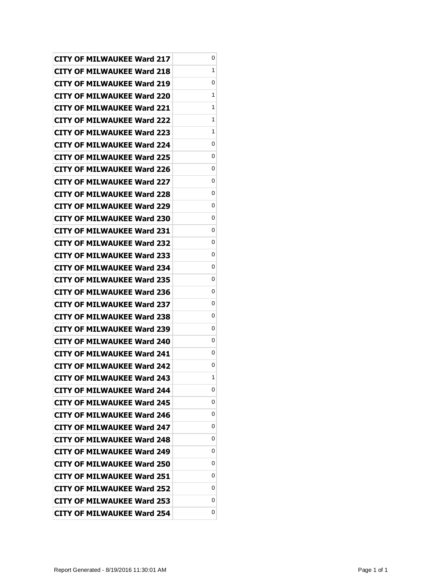| <b>CITY OF MILWAUKEE Ward 217</b> | 0 |
|-----------------------------------|---|
| CITY OF MILWAUKEE Ward 218        | 1 |
| CITY OF MILWAUKEE Ward 219        | 0 |
| CITY OF MILWAUKEE Ward 220        | 1 |
| <b>CITY OF MILWAUKEE Ward 221</b> | 1 |
| <b>CITY OF MILWAUKEE Ward 222</b> | 1 |
| CITY OF MILWAUKEE Ward 223        | 1 |
| <b>CITY OF MILWAUKEE Ward 224</b> | 0 |
| <b>CITY OF MILWAUKEE Ward 225</b> | 0 |
| <b>CITY OF MILWAUKEE Ward 226</b> | 0 |
| CITY OF MILWAUKEE Ward 227        | 0 |
| CITY OF MILWAUKEE Ward 228        | 0 |
| CITY OF MILWAUKEE Ward 229        | 0 |
| <b>CITY OF MILWAUKEE Ward 230</b> | 0 |
| <b>CITY OF MILWAUKEE Ward 231</b> | 0 |
| CITY OF MILWAUKEE Ward 232        | 0 |
| CITY OF MILWAUKEE Ward 233        | 0 |
| <b>CITY OF MILWAUKEE Ward 234</b> | 0 |
| <b>CITY OF MILWAUKEE Ward 235</b> | 0 |
| <b>CITY OF MILWAUKEE Ward 236</b> | 0 |
| <b>CITY OF MILWAUKEE Ward 237</b> | 0 |
| CITY OF MILWAUKEE Ward 238        | 0 |
| <b>CITY OF MILWAUKEE Ward 239</b> | 0 |
| <b>CITY OF MILWAUKEE Ward 240</b> | 0 |
| <b>CITY OF MILWAUKEE Ward 241</b> | 0 |
| <b>CITY OF MILWAUKEE Ward 242</b> | 0 |
| <b>CITY OF MILWAUKEE Ward 243</b> | 1 |
| <b>CITY OF MILWAUKEE Ward 244</b> | 0 |
| <b>CITY OF MILWAUKEE Ward 245</b> | 0 |
| CITY OF MILWAUKEE Ward 246        | 0 |
| CITY OF MILWAUKEE Ward 247        | 0 |
| <b>CITY OF MILWAUKEE Ward 248</b> | 0 |
| <b>CITY OF MILWAUKEE Ward 249</b> | 0 |
| CITY OF MILWAUKEE Ward 250        | 0 |
| CITY OF MILWAUKEE Ward 251        | 0 |
| CITY OF MILWAUKEE Ward 252        | 0 |
| <b>CITY OF MILWAUKEE Ward 253</b> | 0 |
| <b>CITY OF MILWAUKEE Ward 254</b> | 0 |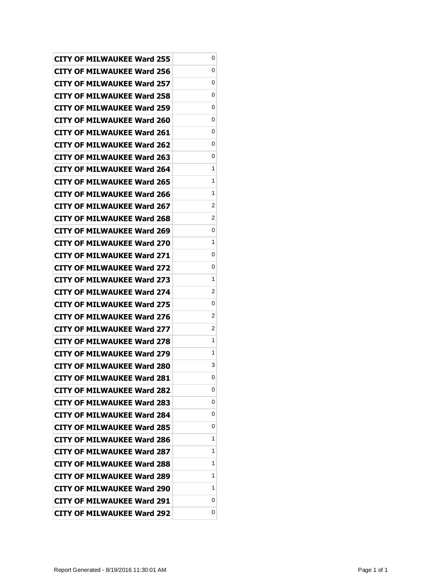| <b>CITY OF MILWAUKEE Ward 255</b> | 0 |
|-----------------------------------|---|
| <b>CITY OF MILWAUKEE Ward 256</b> | 0 |
| <b>CITY OF MILWAUKEE Ward 257</b> | 0 |
| <b>CITY OF MILWAUKEE Ward 258</b> | 0 |
| <b>CITY OF MILWAUKEE Ward 259</b> | 0 |
| CITY OF MILWAUKEE Ward 260        | 0 |
| <b>CITY OF MILWAUKEE Ward 261</b> | 0 |
| CITY OF MILWAUKEE Ward 262        | 0 |
| <b>CITY OF MILWAUKEE Ward 263</b> | 0 |
| <b>CITY OF MILWAUKEE Ward 264</b> | 1 |
| <b>CITY OF MILWAUKEE Ward 265</b> | 1 |
| CITY OF MILWAUKEE Ward 266        | 1 |
| <b>CITY OF MILWAUKEE Ward 267</b> | 2 |
| <b>CITY OF MILWAUKEE Ward 268</b> | 2 |
| CITY OF MILWAUKEE Ward 269        | 0 |
| <b>CITY OF MILWAUKEE Ward 270</b> | 1 |
| CITY OF MILWAUKEE Ward 271        | 0 |
| <b>CITY OF MILWAUKEE Ward 272</b> | 0 |
| <b>CITY OF MILWAUKEE Ward 273</b> | 1 |
| <b>CITY OF MILWAUKEE Ward 274</b> | 2 |
| <b>CITY OF MILWAUKEE Ward 275</b> | 0 |
| <b>CITY OF MILWAUKEE Ward 276</b> | 2 |
| <b>CITY OF MILWAUKEE Ward 277</b> | 2 |
| CITY OF MILWAUKEE Ward 278        | 1 |
| <b>CITY OF MILWAUKEE Ward 279</b> | 1 |
| <b>CITY OF MILWAUKEE Ward 280</b> | 3 |
| <b>CITY OF MILWAUKEE Ward 281</b> | 0 |
| <b>CITY OF MILWAUKEE Ward 282</b> | 0 |
| <b>CITY OF MILWAUKEE Ward 283</b> | 0 |
| <b>CITY OF MILWAUKEE Ward 284</b> | 0 |
| <b>CITY OF MILWAUKEE Ward 285</b> | 0 |
| <b>CITY OF MILWAUKEE Ward 286</b> | 1 |
| <b>CITY OF MILWAUKEE Ward 287</b> | 1 |
| CITY OF MILWAUKEE Ward 288        | 1 |
| <b>CITY OF MILWAUKEE Ward 289</b> | 1 |
| <b>CITY OF MILWAUKEE Ward 290</b> | 1 |
| <b>CITY OF MILWAUKEE Ward 291</b> | 0 |
| <b>CITY OF MILWAUKEE Ward 292</b> | 0 |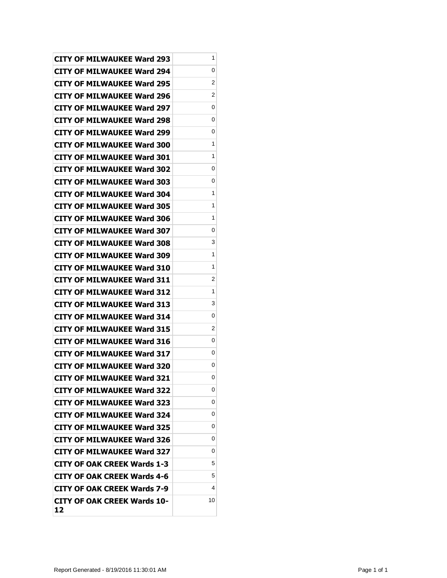| <b>CITY OF MILWAUKEE Ward 293</b>        | 1  |
|------------------------------------------|----|
| CITY OF MILWAUKEE Ward 294               | 0  |
| CITY OF MILWAUKEE Ward 295               | 2  |
| <b>CITY OF MILWAUKEE Ward 296</b>        | 2  |
| <b>CITY OF MILWAUKEE Ward 297</b>        | 0  |
| CITY OF MILWAUKEE Ward 298               | 0  |
| CITY OF MILWAUKEE Ward 299               | 0  |
| CITY OF MILWAUKEE Ward 300               | 1  |
| <b>CITY OF MILWAUKEE Ward 301</b>        | 1  |
| <b>CITY OF MILWAUKEE Ward 302</b>        | 0  |
| <b>CITY OF MILWAUKEE Ward 303</b>        | 0  |
| CITY OF MILWAUKEE Ward 304               | 1  |
| <b>CITY OF MILWAUKEE Ward 305</b>        | 1  |
| <b>CITY OF MILWAUKEE Ward 306</b>        | 1  |
| <b>CITY OF MILWAUKEE Ward 307</b>        | 0  |
| <b>CITY OF MILWAUKEE Ward 308</b>        | 3  |
| CITY OF MILWAUKEE Ward 309               | 1  |
| <b>CITY OF MILWAUKEE Ward 310</b>        | 1  |
| <b>CITY OF MILWAUKEE Ward 311</b>        | 2  |
| <b>CITY OF MILWAUKEE Ward 312</b>        | 1  |
| <b>CITY OF MILWAUKEE Ward 313</b>        | 3  |
| <b>CITY OF MILWAUKEE Ward 314</b>        | 0  |
| <b>CITY OF MILWAUKEE Ward 315</b>        | 2  |
| <b>CITY OF MILWAUKEE Ward 316</b>        | 0  |
| <b>CITY OF MILWAUKEE Ward 317</b>        | 0  |
| <b>CITY OF MILWAUKEE Ward 320</b>        | 0  |
| <b>CITY OF MILWAUKEE Ward 321</b>        | 0  |
| <b>CITY OF MILWAUKEE Ward 322</b>        | 0  |
| <b>CITY OF MILWAUKEE Ward 323</b>        | 0  |
| <b>CITY OF MILWAUKEE Ward 324</b>        | 0  |
| <b>CITY OF MILWAUKEE Ward 325</b>        | 0  |
| <b>CITY OF MILWAUKEE Ward 326</b>        | 0  |
| <b>CITY OF MILWAUKEE Ward 327</b>        | 0  |
| CITY OF OAK CREEK Wards 1-3              | 5  |
| <b>CITY OF OAK CREEK Wards 4-6</b>       | 5  |
| <b>CITY OF OAK CREEK Wards 7-9</b>       | 4  |
| <b>CITY OF OAK CREEK Wards 10-</b><br>12 | 10 |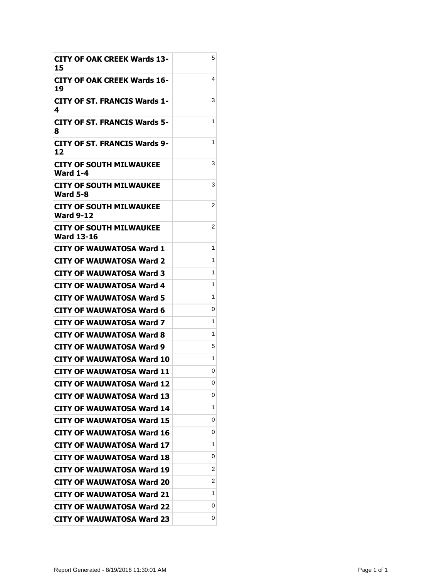| <b>CITY OF OAK CREEK Wards 13-</b><br>15          | 5 |
|---------------------------------------------------|---|
| CITY OF OAK CREEK Wards 16-<br>19                 | 4 |
| CITY OF ST. FRANCIS Wards 1-<br>4                 | 3 |
| <b>CITY OF ST. FRANCIS Wards 5-</b><br>8          | 1 |
| <b>CITY OF ST. FRANCIS Wards 9-</b><br>12         | 1 |
| <b>CITY OF SOUTH MILWAUKEE</b><br><b>Ward 1-4</b> | 3 |
| CITY OF SOUTH MILWAUKEE<br><b>Ward 5-8</b>        | 3 |
| CITY OF SOUTH MILWAUKEE<br>Ward 9-12              | 2 |
| CITY OF SOUTH MILWAUKEE<br>Ward 13-16             | 2 |
| CITY OF WAUWATOSA Ward 1                          | 1 |
| <b>CITY OF WAUWATOSA Ward 2</b>                   | 1 |
| CITY OF WAUWATOSA Ward 3                          | 1 |
| CITY OF WAUWATOSA Ward 4                          | 1 |
| CITY OF WAUWATOSA Ward 5                          | 1 |
| CITY OF WAUWATOSA Ward 6                          | 0 |
| CITY OF WAUWATOSA Ward 7                          | 1 |
| CITY OF WAUWATOSA Ward 8                          | 1 |
| CITY OF WAUWATOSA Ward 9                          | 5 |
| CITY OF WAUWATOSA Ward 10                         | 1 |
| <b>CITY OF WAUWATOSA Ward 11</b>                  | 0 |
| <b>CITY OF WAUWATOSA Ward 12</b>                  | 0 |
| <b>CITY OF WAUWATOSA Ward 13</b>                  | 0 |
| <b>CITY OF WAUWATOSA Ward 14</b>                  | 1 |
| <b>CITY OF WAUWATOSA Ward 15</b>                  | 0 |
| <b>CITY OF WAUWATOSA Ward 16</b>                  | 0 |
| <b>CITY OF WAUWATOSA Ward 17</b>                  | 1 |
| <b>CITY OF WAUWATOSA Ward 18</b>                  | 0 |
| <b>CITY OF WAUWATOSA Ward 19</b>                  | 2 |
| <b>CITY OF WAUWATOSA Ward 20</b>                  | 2 |
| <b>CITY OF WAUWATOSA Ward 21</b>                  | 1 |
| <b>CITY OF WAUWATOSA Ward 22</b>                  | 0 |
| <b>CITY OF WAUWATOSA Ward 23</b>                  | 0 |